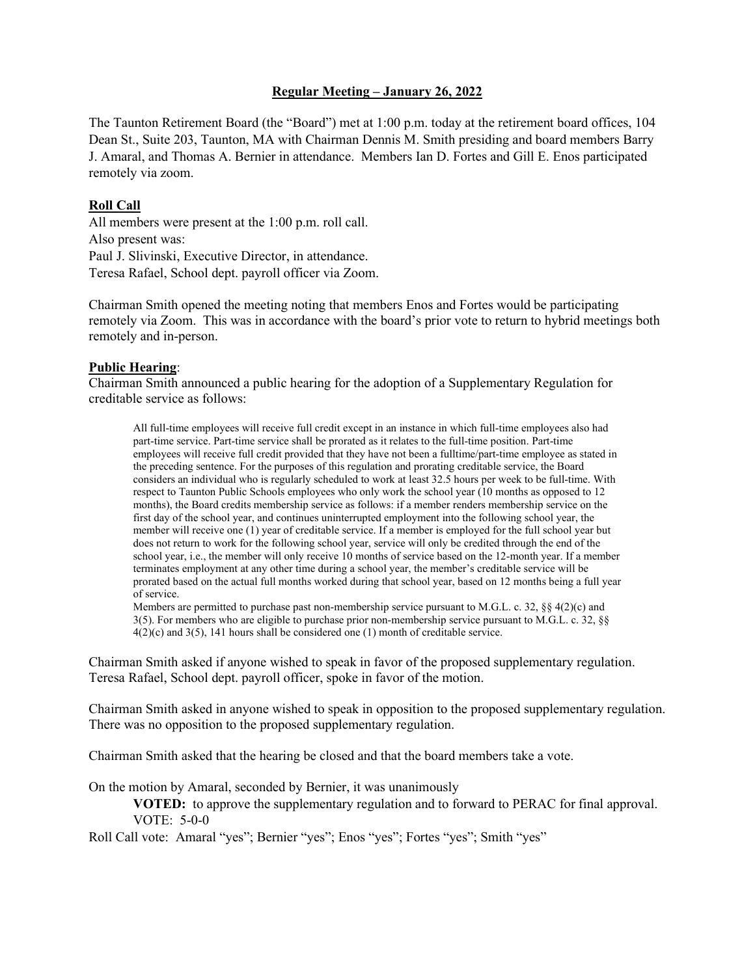### **Regular Meeting – January 26, 2022**

The Taunton Retirement Board (the "Board") met at 1:00 p.m. today at the retirement board offices, 104 Dean St., Suite 203, Taunton, MA with Chairman Dennis M. Smith presiding and board members Barry J. Amaral, and Thomas A. Bernier in attendance. Members Ian D. Fortes and Gill E. Enos participated remotely via zoom.

### **Roll Call**

All members were present at the 1:00 p.m. roll call. Also present was: Paul J. Slivinski, Executive Director, in attendance. Teresa Rafael, School dept. payroll officer via Zoom.

Chairman Smith opened the meeting noting that members Enos and Fortes would be participating remotely via Zoom. This was in accordance with the board's prior vote to return to hybrid meetings both remotely and in-person.

### **Public Hearing**:

Chairman Smith announced a public hearing for the adoption of a Supplementary Regulation for creditable service as follows:

All full-time employees will receive full credit except in an instance in which full-time employees also had part-time service. Part-time service shall be prorated as it relates to the full-time position. Part-time employees will receive full credit provided that they have not been a fulltime/part-time employee as stated in the preceding sentence. For the purposes of this regulation and prorating creditable service, the Board considers an individual who is regularly scheduled to work at least 32.5 hours per week to be full-time. With respect to Taunton Public Schools employees who only work the school year (10 months as opposed to 12 months), the Board credits membership service as follows: if a member renders membership service on the first day of the school year, and continues uninterrupted employment into the following school year, the member will receive one (1) year of creditable service. If a member is employed for the full school year but does not return to work for the following school year, service will only be credited through the end of the school year, i.e., the member will only receive 10 months of service based on the 12-month year. If a member terminates employment at any other time during a school year, the member's creditable service will be prorated based on the actual full months worked during that school year, based on 12 months being a full year of service.

Members are permitted to purchase past non-membership service pursuant to M.G.L. c. 32,  $\S$ § 4(2)(c) and 3(5). For members who are eligible to purchase prior non-membership service pursuant to M.G.L. c. 32, §§ 4(2)(c) and 3(5), 141 hours shall be considered one (1) month of creditable service.

Chairman Smith asked if anyone wished to speak in favor of the proposed supplementary regulation. Teresa Rafael, School dept. payroll officer, spoke in favor of the motion.

Chairman Smith asked in anyone wished to speak in opposition to the proposed supplementary regulation. There was no opposition to the proposed supplementary regulation.

Chairman Smith asked that the hearing be closed and that the board members take a vote.

On the motion by Amaral, seconded by Bernier, it was unanimously

**VOTED:** to approve the supplementary regulation and to forward to PERAC for final approval. VOTE: 5-0-0

Roll Call vote: Amaral "yes"; Bernier "yes"; Enos "yes"; Fortes "yes"; Smith "yes"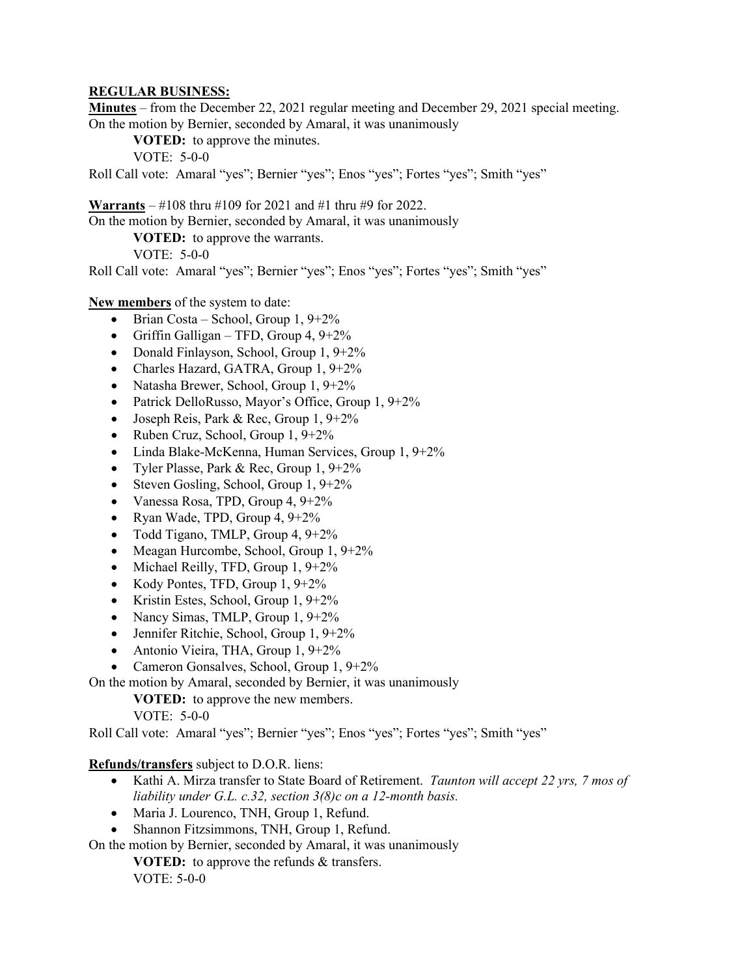### **REGULAR BUSINESS:**

**Minutes** – from the December 22, 2021 regular meeting and December 29, 2021 special meeting. On the motion by Bernier, seconded by Amaral, it was unanimously

**VOTED:** to approve the minutes.

VOTE: 5-0-0

Roll Call vote: Amaral "yes"; Bernier "yes"; Enos "yes"; Fortes "yes"; Smith "yes"

**Warrants** – #108 thru #109 for 2021 and #1 thru #9 for 2022.

On the motion by Bernier, seconded by Amaral, it was unanimously

**VOTED:** to approve the warrants.

VOTE: 5-0-0

Roll Call vote: Amaral "yes"; Bernier "yes"; Enos "yes"; Fortes "yes"; Smith "yes"

**New members** of the system to date:

- Brian Costa School, Group  $1, 9+2\%$
- Griffin Galligan TFD, Group 4,  $9+2\%$
- Donald Finlayson, School, Group 1, 9+2%
- Charles Hazard, GATRA, Group 1, 9+2%
- Natasha Brewer, School, Group 1, 9+2%
- Patrick DelloRusso, Mayor's Office, Group 1, 9+2%
- Joseph Reis, Park & Rec, Group 1, 9+2%
- Ruben Cruz, School, Group  $1, 9+2\%$
- Linda Blake-McKenna, Human Services, Group 1, 9+2%
- Tyler Plasse, Park & Rec, Group 1, 9+2%
- Steven Gosling, School, Group  $1, 9+2\%$
- Vanessa Rosa, TPD, Group 4, 9+2%
- Ryan Wade, TPD, Group  $4, 9+2\%$
- Todd Tigano, TMLP, Group 4, 9+2%
- Meagan Hurcombe, School, Group 1, 9+2%
- Michael Reilly, TFD, Group 1, 9+2%
- Kody Pontes, TFD, Group  $1, 9+2\%$
- Kristin Estes, School, Group 1, 9+2%
- Nancy Simas, TMLP, Group 1, 9+2%
- Jennifer Ritchie, School, Group 1, 9+2%
- Antonio Vieira, THA, Group 1, 9+2%
- Cameron Gonsalves, School, Group 1, 9+2%

On the motion by Amaral, seconded by Bernier, it was unanimously

**VOTED:** to approve the new members.

VOTE: 5-0-0

Roll Call vote: Amaral "yes"; Bernier "yes"; Enos "yes"; Fortes "yes"; Smith "yes"

**Refunds/transfers** subject to D.O.R. liens:

- Kathi A. Mirza transfer to State Board of Retirement. *Taunton will accept 22 yrs, 7 mos of liability under G.L. c.32, section 3(8)c on a 12-month basis.*
- Maria J. Lourenco, TNH, Group 1, Refund.
- Shannon Fitzsimmons, TNH, Group 1, Refund.

On the motion by Bernier, seconded by Amaral, it was unanimously

**VOTED:** to approve the refunds & transfers. VOTE: 5-0-0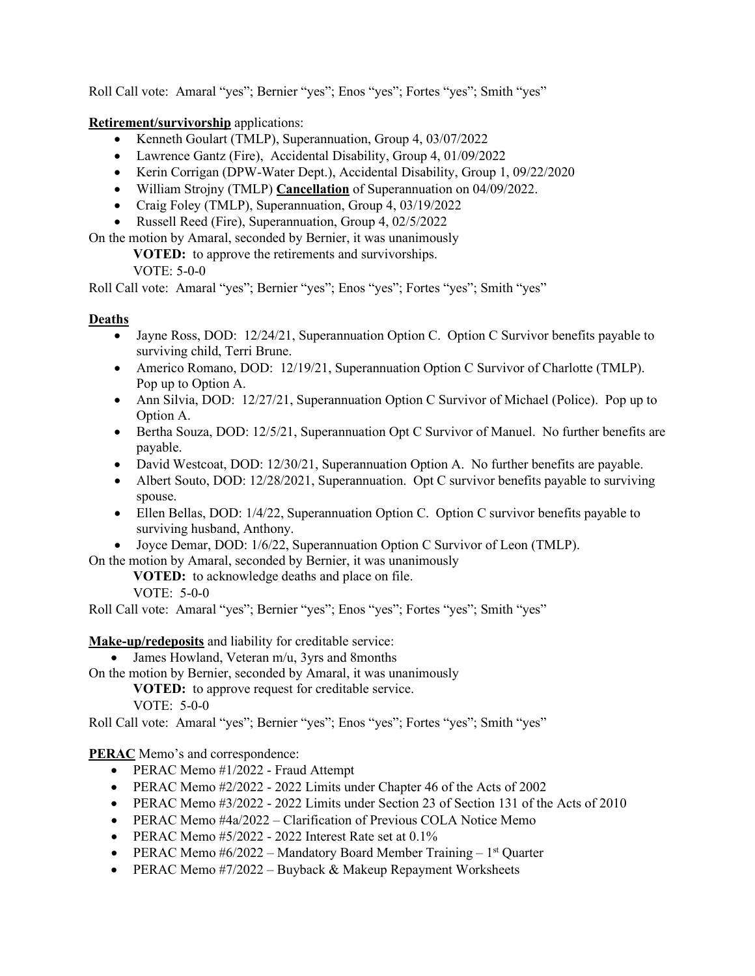Roll Call vote: Amaral "yes"; Bernier "yes"; Enos "yes"; Fortes "yes"; Smith "yes"

**Retirement/survivorship** applications:

- Kenneth Goulart (TMLP), Superannuation, Group 4, 03/07/2022
- Lawrence Gantz (Fire), Accidental Disability, Group 4, 01/09/2022
- Kerin Corrigan (DPW-Water Dept.), Accidental Disability, Group 1, 09/22/2020
- William Strojny (TMLP) **Cancellation** of Superannuation on 04/09/2022.
- Craig Foley (TMLP), Superannuation, Group 4, 03/19/2022
- Russell Reed (Fire), Superannuation, Group 4, 02/5/2022

On the motion by Amaral, seconded by Bernier, it was unanimously

**VOTED:** to approve the retirements and survivorships.

VOTE: 5-0-0

Roll Call vote: Amaral "yes"; Bernier "yes"; Enos "yes"; Fortes "yes"; Smith "yes"

# **Deaths**

- Jayne Ross, DOD: 12/24/21, Superannuation Option C. Option C Survivor benefits payable to surviving child, Terri Brune.
- Americo Romano, DOD: 12/19/21, Superannuation Option C Survivor of Charlotte (TMLP). Pop up to Option A.
- Ann Silvia, DOD: 12/27/21, Superannuation Option C Survivor of Michael (Police). Pop up to Option A.
- Bertha Souza, DOD: 12/5/21, Superannuation Opt C Survivor of Manuel. No further benefits are payable.
- David Westcoat, DOD: 12/30/21, Superannuation Option A. No further benefits are payable.
- Albert Souto, DOD: 12/28/2021, Superannuation. Opt C survivor benefits payable to surviving spouse.
- Ellen Bellas, DOD: 1/4/22, Superannuation Option C. Option C survivor benefits payable to surviving husband, Anthony.
- Joyce Demar, DOD: 1/6/22, Superannuation Option C Survivor of Leon (TMLP).

On the motion by Amaral, seconded by Bernier, it was unanimously

**VOTED:** to acknowledge deaths and place on file.

VOTE: 5-0-0

Roll Call vote: Amaral "yes"; Bernier "yes"; Enos "yes"; Fortes "yes"; Smith "yes"

**Make-up/redeposits** and liability for creditable service:

• James Howland, Veteran m/u, 3yrs and 8months

On the motion by Bernier, seconded by Amaral, it was unanimously

**VOTED:** to approve request for creditable service.

VOTE: 5-0-0

Roll Call vote: Amaral "yes"; Bernier "yes"; Enos "yes"; Fortes "yes"; Smith "yes"

**PERAC** Memo's and correspondence:

- PERAC Memo #1/2022 Fraud Attempt
- PERAC Memo #2/2022 2022 Limits under Chapter 46 of the Acts of 2002
- PERAC Memo #3/2022 2022 Limits under Section 23 of Section 131 of the Acts of 2010
- PERAC Memo #4a/2022 Clarification of Previous COLA Notice Memo
- PERAC Memo  $#5/2022 2022$  Interest Rate set at  $0.1\%$
- PERAC Memo  $#6/2022 M$ andatory Board Member Training  $-1$ <sup>st</sup> Quarter
- PERAC Memo  $#7/2022 Buyback & Makeup Repayment Worksheets$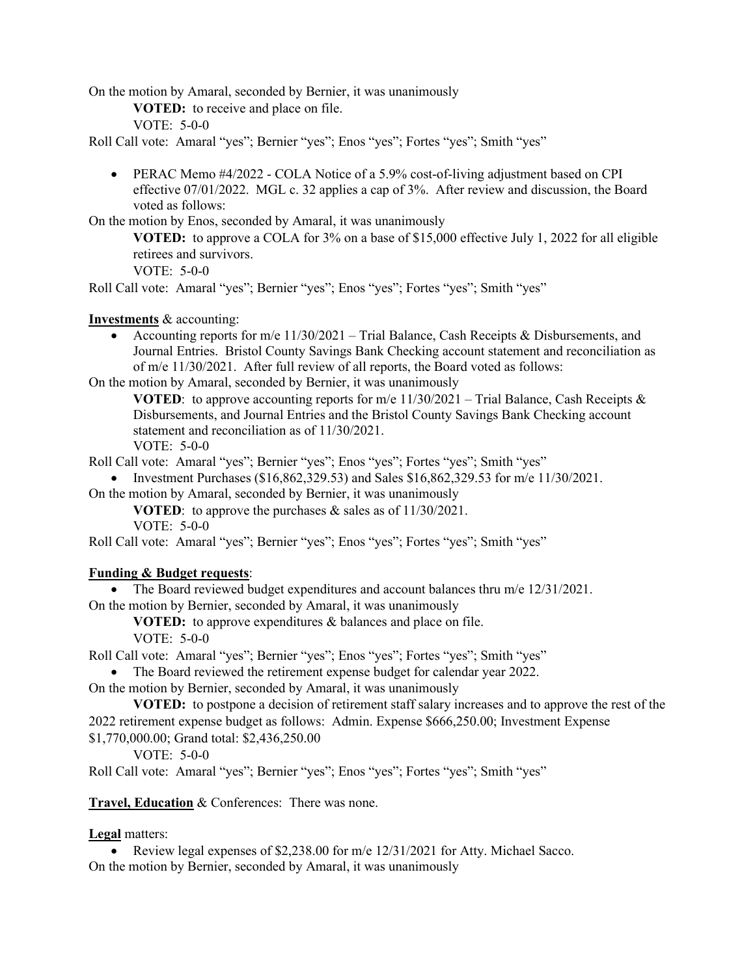On the motion by Amaral, seconded by Bernier, it was unanimously

**VOTED:** to receive and place on file.

VOTE: 5-0-0

Roll Call vote: Amaral "yes"; Bernier "yes"; Enos "yes"; Fortes "yes"; Smith "yes"

• PERAC Memo #4/2022 - COLA Notice of a 5.9% cost-of-living adjustment based on CPI effective 07/01/2022. MGL c. 32 applies a cap of 3%. After review and discussion, the Board voted as follows:

On the motion by Enos, seconded by Amaral, it was unanimously

**VOTED:** to approve a COLA for 3% on a base of \$15,000 effective July 1, 2022 for all eligible retirees and survivors.

VOTE: 5-0-0

Roll Call vote: Amaral "yes"; Bernier "yes"; Enos "yes"; Fortes "yes"; Smith "yes"

**Investments** & accounting:

• Accounting reports for m/e  $11/30/2021$  – Trial Balance, Cash Receipts & Disbursements, and Journal Entries. Bristol County Savings Bank Checking account statement and reconciliation as of m/e 11/30/2021. After full review of all reports, the Board voted as follows:

On the motion by Amaral, seconded by Bernier, it was unanimously

**VOTED:** to approve accounting reports for m/e  $11/30/2021$  – Trial Balance, Cash Receipts & Disbursements, and Journal Entries and the Bristol County Savings Bank Checking account statement and reconciliation as of 11/30/2021. VOTE: 5-0-0

Roll Call vote: Amaral "yes"; Bernier "yes"; Enos "yes"; Fortes "yes"; Smith "yes"

• Investment Purchases (\$16,862,329.53) and Sales \$16,862,329.53 for m/e  $11/30/2021$ .

On the motion by Amaral, seconded by Bernier, it was unanimously

**VOTED**: to approve the purchases & sales as of 11/30/2021.

VOTE: 5-0-0

Roll Call vote: Amaral "yes"; Bernier "yes"; Enos "yes"; Fortes "yes"; Smith "yes"

### **Funding & Budget requests**:

• The Board reviewed budget expenditures and account balances thru m/e 12/31/2021.

On the motion by Bernier, seconded by Amaral, it was unanimously

**VOTED:** to approve expenditures & balances and place on file.

VOTE: 5-0-0

Roll Call vote: Amaral "yes"; Bernier "yes"; Enos "yes"; Fortes "yes"; Smith "yes"

• The Board reviewed the retirement expense budget for calendar year 2022.

On the motion by Bernier, seconded by Amaral, it was unanimously

**VOTED:** to postpone a decision of retirement staff salary increases and to approve the rest of the 2022 retirement expense budget as follows: Admin. Expense \$666,250.00; Investment Expense

\$1,770,000.00; Grand total: \$2,436,250.00

VOTE: 5-0-0

Roll Call vote: Amaral "yes"; Bernier "yes"; Enos "yes"; Fortes "yes"; Smith "yes"

**Travel, Education** & Conferences: There was none.

### **Legal** matters:

• Review legal expenses of \$2,238.00 for m/e 12/31/2021 for Atty. Michael Sacco. On the motion by Bernier, seconded by Amaral, it was unanimously